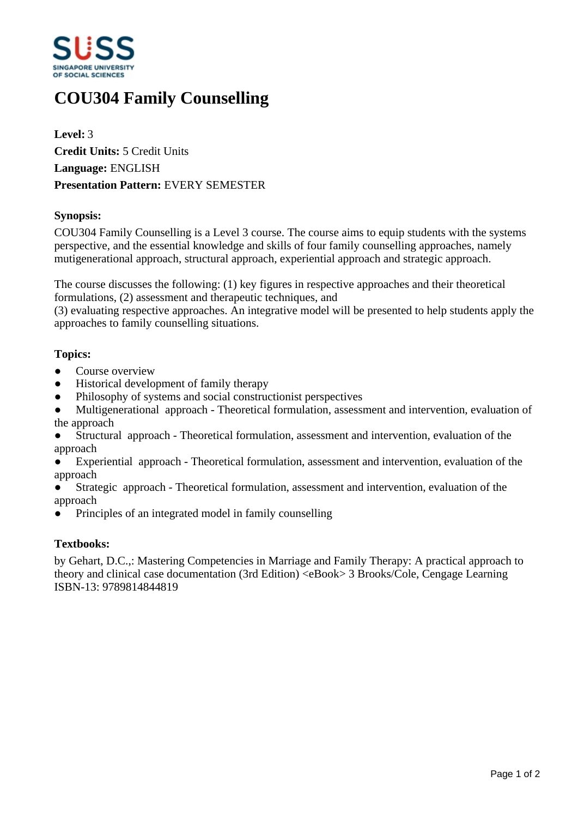

# **COU304 Family Counselling**

**Level:** 3 **Credit Units:** 5 Credit Units **Language:** ENGLISH **Presentation Pattern:** EVERY SEMESTER

# **Synopsis:**

COU304 Family Counselling is a Level 3 course. The course aims to equip students with the systems perspective, and the essential knowledge and skills of four family counselling approaches, namely mutigenerational approach, structural approach, experiential approach and strategic approach.

The course discusses the following: (1) key figures in respective approaches and their theoretical formulations, (2) assessment and therapeutic techniques, and

(3) evaluating respective approaches. An integrative model will be presented to help students apply the approaches to family counselling situations.

# **Topics:**

- Course overview
- Historical development of family therapy
- Philosophy of systems and social constructionist perspectives
- Multigenerational approach Theoretical formulation, assessment and intervention, evaluation of the approach
- Structural approach Theoretical formulation, assessment and intervention, evaluation of the approach
- Experiential approach Theoretical formulation, assessment and intervention, evaluation of the approach
- Strategic approach Theoretical formulation, assessment and intervention, evaluation of the approach
- Principles of an integrated model in family counselling

#### **Textbooks:**

by Gehart, D.C.,: Mastering Competencies in Marriage and Family Therapy: A practical approach to theory and clinical case documentation (3rd Edition) <eBook> 3 Brooks/Cole, Cengage Learning ISBN-13: 9789814844819